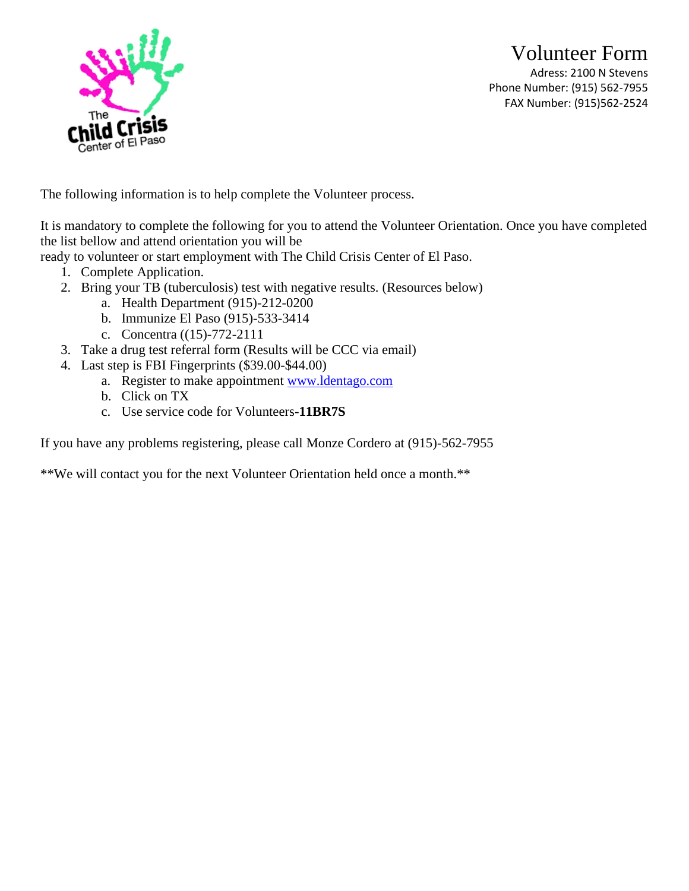Volunteer Form Adress: 2100 N Stevens Phone Number: (915) 562-7955 FAX Number: (915)562-2524



The following information is to help complete the Volunteer process.

It is mandatory to complete the following for you to attend the Volunteer Orientation. Once you have completed the list bellow and attend orientation you will be

ready to volunteer or start employment with The Child Crisis Center of El Paso.

- 1. Complete Application.
- 2. Bring your TB (tuberculosis) test with negative results. (Resources below)
	- a. Health Department (915)-212-0200
	- b. Immunize El Paso (915)-533-3414
	- c. Concentra ((15)-772-2111
- 3. Take a drug test referral form (Results will be CCC via email)
- 4. Last step is FBI Fingerprints (\$39.00-\$44.00)
	- a. Register to make appointment [www.ldentago.com](http://www.ldentago.com/)
	- b. Click on TX
	- c. Use service code for Volunteers-**11BR7S**

If you have any problems registering, please call Monze Cordero at (915)-562-7955

\*\*We will contact you for the next Volunteer Orientation held once a month.\*\*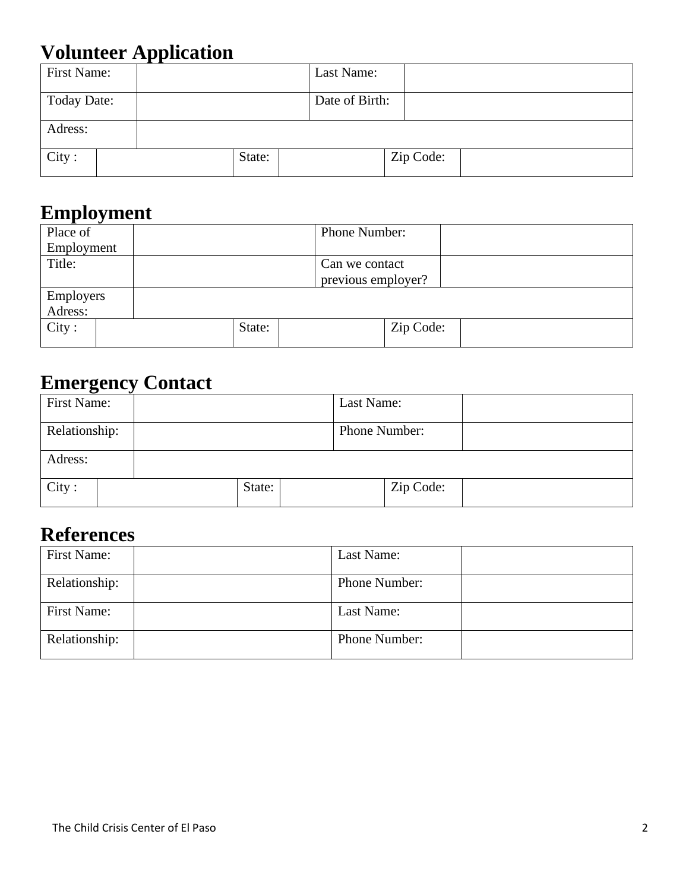# **Volunteer Application**

| First Name:        |        | Last Name:     |           |  |
|--------------------|--------|----------------|-----------|--|
| <b>Today Date:</b> |        | Date of Birth: |           |  |
| Adress:            |        |                |           |  |
| City:              | State: |                | Zip Code: |  |

#### **Employment**

| Place of   |  |        |                | Phone Number:      |           |  |
|------------|--|--------|----------------|--------------------|-----------|--|
| Employment |  |        |                |                    |           |  |
| Title:     |  |        | Can we contact |                    |           |  |
|            |  |        |                | previous employer? |           |  |
| Employers  |  |        |                |                    |           |  |
| Adress:    |  |        |                |                    |           |  |
| City:      |  | State: |                |                    | Zip Code: |  |
|            |  |        |                |                    |           |  |

## **Emergency Contact**

| First Name:   |        | Last Name:    |  |
|---------------|--------|---------------|--|
| Relationship: |        | Phone Number: |  |
| Adress:       |        |               |  |
| City:         | State: | Zip Code:     |  |

### **References**

| First Name:   | Last Name:    |  |
|---------------|---------------|--|
| Relationship: | Phone Number: |  |
| First Name:   | Last Name:    |  |
| Relationship: | Phone Number: |  |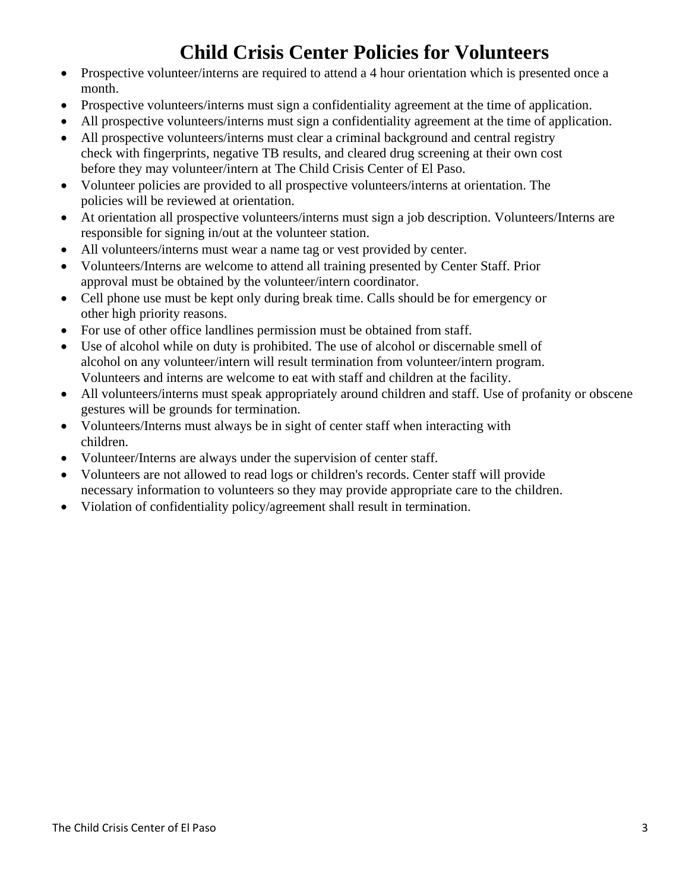### **Child Crisis Center Policies for Volunteers**

- Prospective volunteer/interns are required to attend a 4 hour orientation which is presented once a month.
- Prospective volunteers/interns must sign a confidentiality agreement at the time of application.
- All prospective volunteers/interns must sign a confidentiality agreement at the time of application.
- All prospective volunteers/interns must clear a criminal background and central registry check with fingerprints, negative TB results, and cleared drug screening at their own cost before they may volunteer/intern at The Child Crisis Center of El Paso.
- Volunteer policies are provided to all prospective volunteers/interns at orientation. The policies will be reviewed at orientation.
- At orientation all prospective volunteers/interns must sign a job description. Volunteers/Interns are responsible for signing in/out at the volunteer station.
- All volunteers/interns must wear a name tag or vest provided by center.
- Volunteers/Interns are welcome to attend all training presented by Center Staff. Prior approval must be obtained by the volunteer/intern coordinator.
- Cell phone use must be kept only during break time. Calls should be for emergency or other high priority reasons.
- For use of other office landlines permission must be obtained from staff.
- Use of alcohol while on duty is prohibited. The use of alcohol or discernable smell of alcohol on any volunteer/intern will result termination from volunteer/intern program. Volunteers and interns are welcome to eat with staff and children at the facility.
- All volunteers/interns must speak appropriately around children and staff. Use of profanity or obscene gestures will be grounds for termination.
- Volunteers/Interns must always be in sight of center staff when interacting with children.
- Volunteer/Interns are always under the supervision of center staff.
- Volunteers are not allowed to read logs or children's records. Center staff will provide necessary information to volunteers so they may provide appropriate care to the children.
- Violation of confidentiality policy/agreement shall result in termination.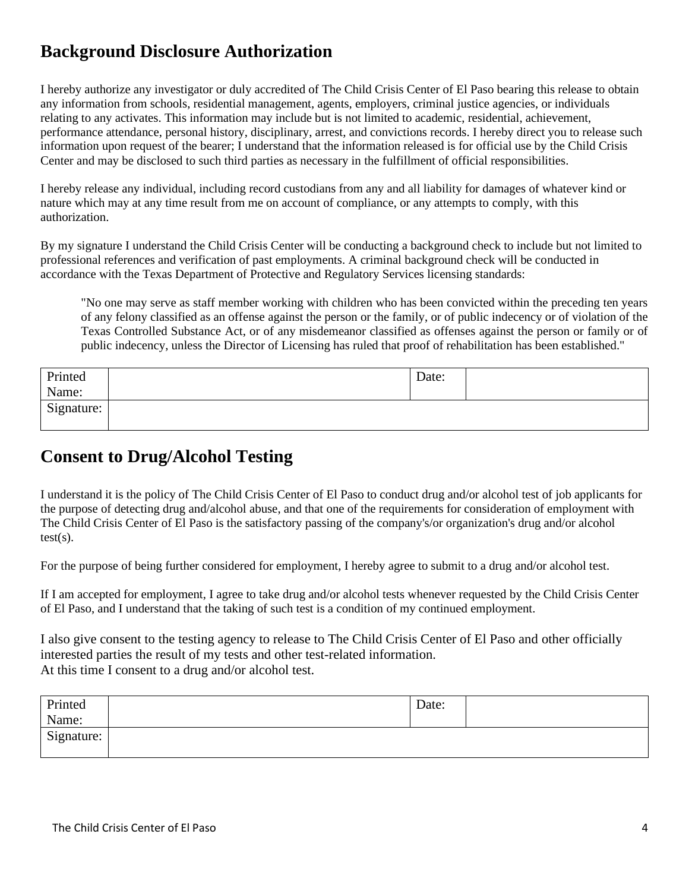#### **Background Disclosure Authorization**

I hereby authorize any investigator or duly accredited of The Child Crisis Center of El Paso bearing this release to obtain any information from schools, residential management, agents, employers, criminal justice agencies, or individuals relating to any activates. This information may include but is not limited to academic, residential, achievement, performance attendance, personal history, disciplinary, arrest, and convictions records. I hereby direct you to release such information upon request of the bearer; I understand that the information released is for official use by the Child Crisis Center and may be disclosed to such third parties as necessary in the fulfillment of official responsibilities.

I hereby release any individual, including record custodians from any and all liability for damages of whatever kind or nature which may at any time result from me on account of compliance, or any attempts to comply, with this authorization.

By my signature I understand the Child Crisis Center will be conducting a background check to include but not limited to professional references and verification of past employments. A criminal background check will be conducted in accordance with the Texas Department of Protective and Regulatory Services licensing standards:

"No one may serve as staff member working with children who has been convicted within the preceding ten years of any felony classified as an offense against the person or the family, or of public indecency or of violation of the Texas Controlled Substance Act, or of any misdemeanor classified as offenses against the person or family or of public indecency, unless the Director of Licensing has ruled that proof of rehabilitation has been established."

| Printed    | Date: |  |
|------------|-------|--|
| Name:      |       |  |
| Signature: |       |  |
|            |       |  |

#### **Consent to Drug/Alcohol Testing**

I understand it is the policy of The Child Crisis Center of El Paso to conduct drug and/or alcohol test of job applicants for the purpose of detecting drug and/alcohol abuse, and that one of the requirements for consideration of employment with The Child Crisis Center of El Paso is the satisfactory passing of the company's/or organization's drug and/or alcohol  $test(s)$ .

For the purpose of being further considered for employment, I hereby agree to submit to a drug and/or alcohol test.

If I am accepted for employment, I agree to take drug and/or alcohol tests whenever requested by the Child Crisis Center of El Paso, and I understand that the taking of such test is a condition of my continued employment.

I also give consent to the testing agency to release to The Child Crisis Center of El Paso and other officially interested parties the result of my tests and other test-related information. At this time I consent to a drug and/or alcohol test.

| Printed    | Date: |  |
|------------|-------|--|
| Name:      |       |  |
| Signature: |       |  |
|            |       |  |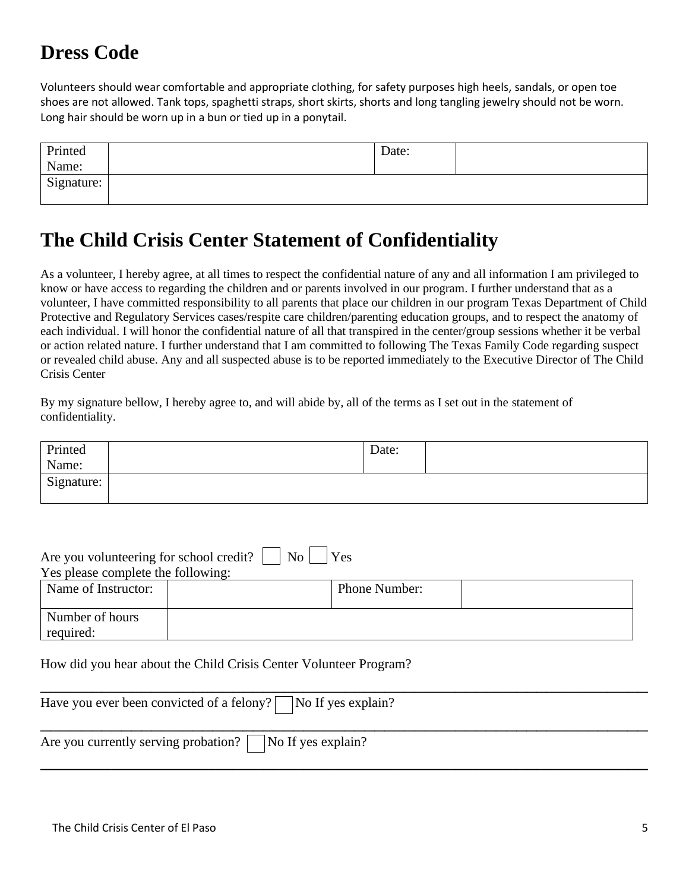## **Dress Code**

Volunteers should wear comfortable and appropriate clothing, for safety purposes high heels, sandals, or open toe shoes are not allowed. Tank tops, spaghetti straps, short skirts, shorts and long tangling jewelry should not be worn. Long hair should be worn up in a bun or tied up in a ponytail.

| Printed    | Date: |  |
|------------|-------|--|
| Name:      |       |  |
| Signature: |       |  |

#### **The Child Crisis Center Statement of Confidentiality**

As a volunteer, I hereby agree, at all times to respect the confidential nature of any and all information I am privileged to know or have access to regarding the children and or parents involved in our program. I further understand that as a volunteer, I have committed responsibility to all parents that place our children in our program Texas Department of Child Protective and Regulatory Services cases/respite care children/parenting education groups, and to respect the anatomy of each individual. I will honor the confidential nature of all that transpired in the center/group sessions whether it be verbal or action related nature. I further understand that I am committed to following The Texas Family Code regarding suspect or revealed child abuse. Any and all suspected abuse is to be reported immediately to the Executive Director of The Child Crisis Center

By my signature bellow, I hereby agree to, and will abide by, all of the terms as I set out in the statement of confidentiality.

| Printed    | Date: |  |
|------------|-------|--|
| Name:      |       |  |
| Signature: |       |  |

| No.<br>Are you volunteering for school credit?<br>Yes |  |                      |  |  |
|-------------------------------------------------------|--|----------------------|--|--|
| Yes please complete the following:                    |  |                      |  |  |
| Name of Instructor:                                   |  | <b>Phone Number:</b> |  |  |
| Number of hours                                       |  |                      |  |  |
| required:                                             |  |                      |  |  |

How did you hear about the Child Crisis Center Volunteer Program?

\_\_\_\_\_\_\_\_\_\_\_\_\_\_\_\_\_\_\_\_\_\_\_\_\_\_\_\_\_\_\_\_\_\_\_\_\_\_\_\_\_\_\_\_\_\_\_\_\_\_\_\_\_\_\_\_\_\_\_\_ Have you ever been convicted of a felony?  $\Box$  No If yes explain?  $\overline{\phantom{a}}$  , and the set of the set of the set of the set of the set of the set of the set of the set of the set of the set of the set of the set of the set of the set of the set of the set of the set of the set of the s Are you currently serving probation?  $\Box$  No If yes explain?  $\overline{\phantom{a}}$  , and the set of the set of the set of the set of the set of the set of the set of the set of the set of the set of the set of the set of the set of the set of the set of the set of the set of the set of the s